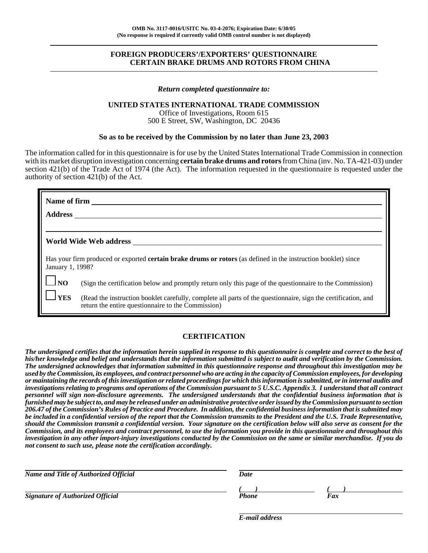## **FOREIGN PRODUCERS'/EXPORTERS' QUESTIONNAIRE CERTAIN BRAKE DRUMS AND ROTORS FROM CHINA**

#### *Return completed questionnaire to:*

#### **UNITED STATES INTERNATIONAL TRADE COMMISSION**

Office of Investigations, Room 615 500 E Street, SW, Washington, DC 20436

#### **So as to be received by the Commission by no later than June 23, 2003**

The information called for in this questionnaire is for use by the United States International Trade Commission in connection with its market disruption investigation concerning **certain brake drums and rotors** from China (inv. No. TA-421-03) under section 421(b) of the Trade Act of 1974 (the Act). The information requested in the questionnaire is requested under the authority of section 421(b) of the Act.

| Name of firm     |                                                                                                                                                                     |
|------------------|---------------------------------------------------------------------------------------------------------------------------------------------------------------------|
| <b>Address</b>   |                                                                                                                                                                     |
|                  |                                                                                                                                                                     |
|                  | World Wide Web address                                                                                                                                              |
| January 1, 1998? | Has your firm produced or exported <b>certain brake drums or rotors</b> (as defined in the instruction booklet) since                                               |
| N <sub>O</sub>   | (Sign the certification below and promptly return only this page of the questionnaire to the Commission)                                                            |
| <b>YES</b>       | (Read the instruction booklet carefully, complete all parts of the questionnaire, sign the certification, and<br>return the entire questionnaire to the Commission) |

# **CERTIFICATION**

*The undersigned certifies that the information herein supplied in response to this questionnaire is complete and correct to the best of his/her knowledge and belief and understands that the information submitted is subject to audit and verification by the Commission. The undersigned acknowledges that information submitted in this questionnaire response and throughout this investigation may be used by the Commission, its employees, and contract personnel who are acting in the capacity of Commission employees, for developing or maintaining the records of this investigation or related proceedings for which this information is submitted, or in internal audits and investigations relating to programs and operations of the Commission pursuant to 5 U.S.C. Appendix 3. I understand that all contract personnel will sign non-disclosure agreements. The undersigned understands that the confidential business information that is furnished may be subject to, and may be released under an administrative protective order issued by the Commission pursuant to section 206.47 of the Commission's Rules of Practice and Procedure. In addition, the confidential business information that is submitted may be included in a confidential version of the report that the Commission transmits to the President and the U.S. Trade Representative, should the Commission transmit a confidential version. Your signature on the certification below will also serve as consent for the Commission, and its employees and contract personnel, to use the information you provide in this questionnaire and throughout this investigation in any other import-injury investigations conducted by the Commission on the same or similar merchandise. If you do not consent to such use, please note the certification accordingly.*

| Name and Title of Authorized Official   | Date  |     |  |  |
|-----------------------------------------|-------|-----|--|--|
|                                         |       |     |  |  |
| <b>Signature of Authorized Official</b> | Phone | Fax |  |  |
|                                         |       |     |  |  |

*E-mail address*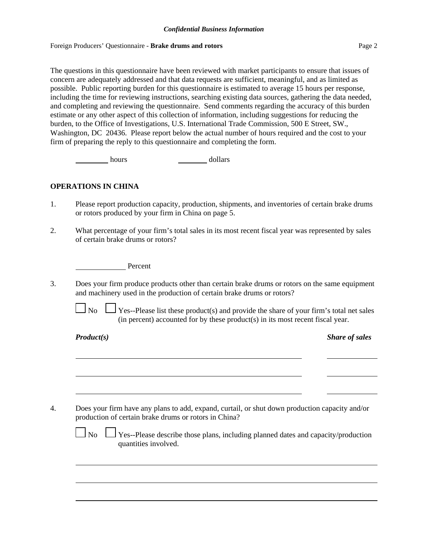#### Foreign Producers' Questionnaire - **Brake drums and rotors** Page 2

The questions in this questionnaire have been reviewed with market participants to ensure that issues of concern are adequately addressed and that data requests are sufficient, meaningful, and as limited as possible. Public reporting burden for this questionnaire is estimated to average 15 hours per response, including the time for reviewing instructions, searching existing data sources, gathering the data needed, and completing and reviewing the questionnaire. Send comments regarding the accuracy of this burden estimate or any other aspect of this collection of information, including suggestions for reducing the burden, to the Office of Investigations, U.S. International Trade Commission, 500 E Street, SW., Washington, DC 20436. Please report below the actual number of hours required and the cost to your firm of preparing the reply to this questionnaire and completing the form.

hours bours and dollars

# **OPERATIONS IN CHINA**

- 1. Please report production capacity, production, shipments, and inventories of certain brake drums or rotors produced by your firm in China on page 5.
- 2. What percentage of your firm's total sales in its most recent fiscal year was represented by sales of certain brake drums or rotors?

Percent

3. Does your firm produce products other than certain brake drums or rotors on the same equipment and machinery used in the production of certain brake drums or rotors?

 $\Box$  No  $\Box$  Yes--Please list these product(s) and provide the share of your firm's total net sales (in percent) accounted for by these product(s) in its most recent fiscal year.

*Product(s) Share of sales*

4. Does your firm have any plans to add, expand, curtail, or shut down production capacity and/or production of certain brake drums or rotors in China?

| ۰. |  |
|----|--|
|----|--|

Yes--Please describe those plans, including planned dates and capacity/production quantities involved.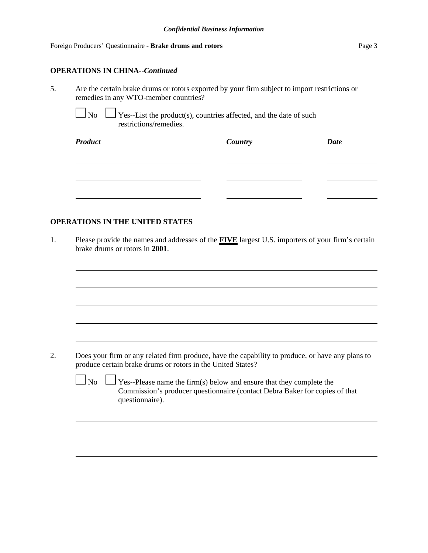## Foreign Producers' Questionnaire - **Brake drums and rotors** Page 3

# **OPERATIONS IN CHINA**--*Continued*

5. Are the certain brake drums or rotors exported by your firm subject to import restrictions or remedies in any WTO-member countries?

 $\log$  Yes--List the product(s), countries affected, and the date of such restrictions/remedies.

| <b>Product</b> | <b>Country</b> | <b>Date</b> |
|----------------|----------------|-------------|
|                |                |             |
|                |                |             |
|                |                |             |

# **OPERATIONS IN THE UNITED STATES**

1. Please provide the names and addresses of the **FIVE** largest U.S. importers of your firm's certain brake drums or rotors in **2001**.

2. Does your firm or any related firm produce, have the capability to produce, or have any plans to produce certain brake drums or rotors in the United States?

 $\Box$  No  $\Box$  Yes--Please name the firm(s) below and ensure that they complete the Commission's producer questionnaire (contact Debra Baker for copies of that questionnaire).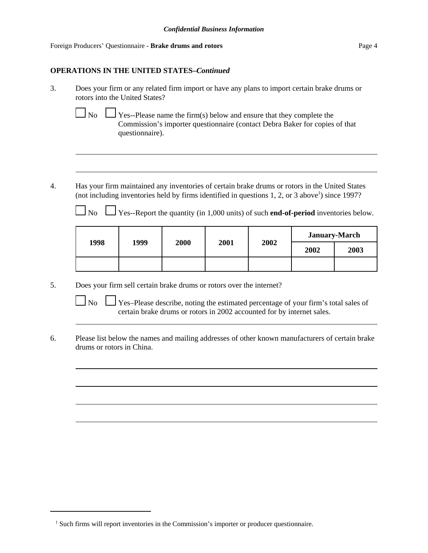## **OPERATIONS IN THE UNITED STATES–***Continued*

- 3. Does your firm or any related firm import or have any plans to import certain brake drums or rotors into the United States?
	-

No  $\Box$  Yes--Please name the firm(s) below and ensure that they complete the Commission's importer questionnaire (contact Debra Baker for copies of that questionnaire).

4. Has your firm maintained any inventories of certain brake drums or rotors in the United States (not including inventories held by firms identified in questions  $1, 2$ , or  $3$  above<sup>1</sup>) since 1997?

No  $\Box$  Yes--Report the quantity (in 1,000 units) of such **end-of-period** inventories below.

| 1998 | 1999 | 2000 | 2001 | 2002 | <b>January-March</b> |      |  |
|------|------|------|------|------|----------------------|------|--|
|      |      |      |      |      | 2002                 | 2003 |  |
|      |      |      |      |      |                      |      |  |

5. Does your firm sell certain brake drums or rotors over the internet?

 $\Box$  No  $\Box$  Yes–Please describe, noting the estimated percentage of your firm's total sales of certain brake drums or rotors in 2002 accounted for by internet sales.

6. Please list below the names and mailing addresses of other known manufacturers of certain brake drums or rotors in China.

<sup>&</sup>lt;sup>1</sup> Such firms will report inventories in the Commission's importer or producer questionnaire.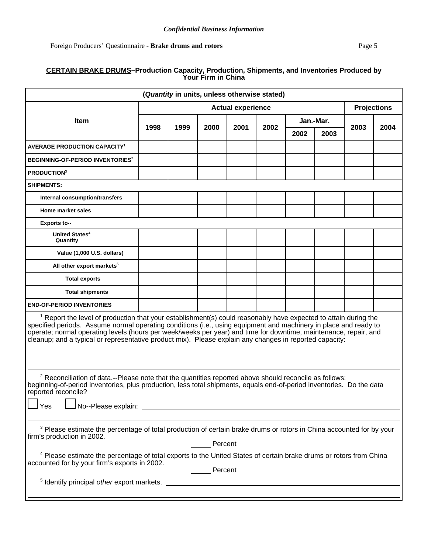## **CERTAIN BRAKE DRUMS–Production Capacity, Production, Shipments, and Inventories Produced by Your Firm in China**

| (Quantity in units, unless otherwise stated)                                                                                                                                                                                                                                                                                                                                                                                                                                  |                          |      |      |      |      |      |                    |      |      |
|-------------------------------------------------------------------------------------------------------------------------------------------------------------------------------------------------------------------------------------------------------------------------------------------------------------------------------------------------------------------------------------------------------------------------------------------------------------------------------|--------------------------|------|------|------|------|------|--------------------|------|------|
|                                                                                                                                                                                                                                                                                                                                                                                                                                                                               | <b>Actual experience</b> |      |      |      |      |      | <b>Projections</b> |      |      |
| <b>Item</b>                                                                                                                                                                                                                                                                                                                                                                                                                                                                   |                          |      |      |      |      |      | Jan.-Mar.          | 2003 |      |
|                                                                                                                                                                                                                                                                                                                                                                                                                                                                               | 1998                     | 1999 | 2000 | 2001 | 2002 | 2002 | 2003               |      | 2004 |
| <b>AVERAGE PRODUCTION CAPACITY<sup>1</sup></b>                                                                                                                                                                                                                                                                                                                                                                                                                                |                          |      |      |      |      |      |                    |      |      |
| <b>BEGINNING-OF-PERIOD INVENTORIES<sup>2</sup></b>                                                                                                                                                                                                                                                                                                                                                                                                                            |                          |      |      |      |      |      |                    |      |      |
| <b>PRODUCTION3</b>                                                                                                                                                                                                                                                                                                                                                                                                                                                            |                          |      |      |      |      |      |                    |      |      |
| <b>SHIPMENTS:</b>                                                                                                                                                                                                                                                                                                                                                                                                                                                             |                          |      |      |      |      |      |                    |      |      |
| Internal consumption/transfers                                                                                                                                                                                                                                                                                                                                                                                                                                                |                          |      |      |      |      |      |                    |      |      |
| Home market sales                                                                                                                                                                                                                                                                                                                                                                                                                                                             |                          |      |      |      |      |      |                    |      |      |
| <b>Exports to--</b>                                                                                                                                                                                                                                                                                                                                                                                                                                                           |                          |      |      |      |      |      |                    |      |      |
| United States <sup>4</sup><br>Quantity                                                                                                                                                                                                                                                                                                                                                                                                                                        |                          |      |      |      |      |      |                    |      |      |
| Value (1,000 U.S. dollars)                                                                                                                                                                                                                                                                                                                                                                                                                                                    |                          |      |      |      |      |      |                    |      |      |
| All other export markets <sup>5</sup>                                                                                                                                                                                                                                                                                                                                                                                                                                         |                          |      |      |      |      |      |                    |      |      |
| <b>Total exports</b>                                                                                                                                                                                                                                                                                                                                                                                                                                                          |                          |      |      |      |      |      |                    |      |      |
| <b>Total shipments</b>                                                                                                                                                                                                                                                                                                                                                                                                                                                        |                          |      |      |      |      |      |                    |      |      |
| <b>END-OF-PERIOD INVENTORIES</b>                                                                                                                                                                                                                                                                                                                                                                                                                                              |                          |      |      |      |      |      |                    |      |      |
| <sup>1</sup> Report the level of production that your establishment(s) could reasonably have expected to attain during the<br>specified periods. Assume normal operating conditions (i.e., using equipment and machinery in place and ready to<br>operate; normal operating levels (hours per week/weeks per year) and time for downtime, maintenance, repair, and<br>cleanup; and a typical or representative product mix). Please explain any changes in reported capacity: |                          |      |      |      |      |      |                    |      |      |
| $2$ Reconciliation of data.--Please note that the quantities reported above should reconcile as follows:<br>beginning-of-period inventories, plus production, less total shipments, equals end-of-period inventories. Do the data<br>reported reconcile?<br>Yes                                                                                                                                                                                                               |                          |      |      |      |      |      |                    |      |      |
| <sup>3</sup> Please estimate the percentage of total production of certain brake drums or rotors in China accounted for by your<br>firm's production in 2002.<br>Percent<br><sup>4</sup> Please estimate the percentage of total exports to the United States of certain brake drums or rotors from China                                                                                                                                                                     |                          |      |      |      |      |      |                    |      |      |
| accounted for by your firm's exports in 2002.<br>Percent                                                                                                                                                                                                                                                                                                                                                                                                                      |                          |      |      |      |      |      |                    |      |      |